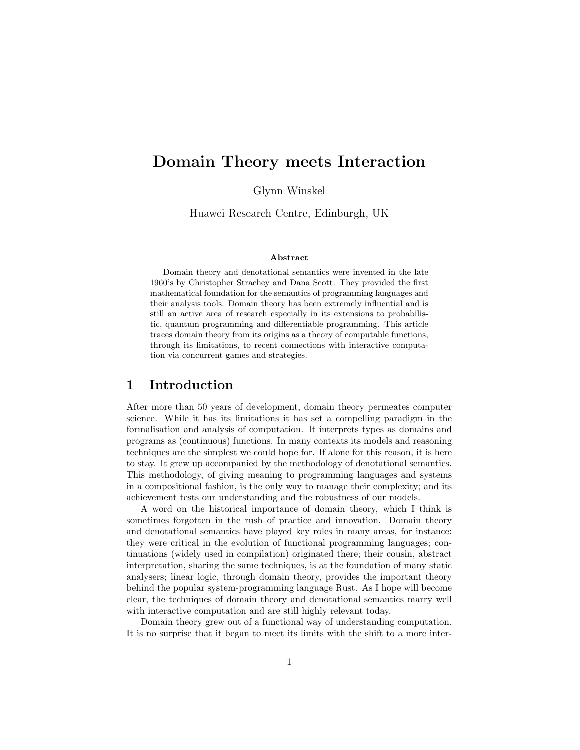# Domain Theory meets Interaction

Glynn Winskel

Huawei Research Centre, Edinburgh, UK

#### Abstract

Domain theory and denotational semantics were invented in the late 1960's by Christopher Strachey and Dana Scott. They provided the first mathematical foundation for the semantics of programming languages and their analysis tools. Domain theory has been extremely influential and is still an active area of research especially in its extensions to probabilistic, quantum programming and differentiable programming. This article traces domain theory from its origins as a theory of computable functions, through its limitations, to recent connections with interactive computation via concurrent games and strategies.

### 1 Introduction

After more than 50 years of development, domain theory permeates computer science. While it has its limitations it has set a compelling paradigm in the formalisation and analysis of computation. It interprets types as domains and programs as (continuous) functions. In many contexts its models and reasoning techniques are the simplest we could hope for. If alone for this reason, it is here to stay. It grew up accompanied by the methodology of denotational semantics. This methodology, of giving meaning to programming languages and systems in a compositional fashion, is the only way to manage their complexity; and its achievement tests our understanding and the robustness of our models.

A word on the historical importance of domain theory, which I think is sometimes forgotten in the rush of practice and innovation. Domain theory and denotational semantics have played key roles in many areas, for instance: they were critical in the evolution of functional programming languages; continuations (widely used in compilation) originated there; their cousin, abstract interpretation, sharing the same techniques, is at the foundation of many static analysers; linear logic, through domain theory, provides the important theory behind the popular system-programming language Rust. As I hope will become clear, the techniques of domain theory and denotational semantics marry well with interactive computation and are still highly relevant today.

Domain theory grew out of a functional way of understanding computation. It is no surprise that it began to meet its limits with the shift to a more inter-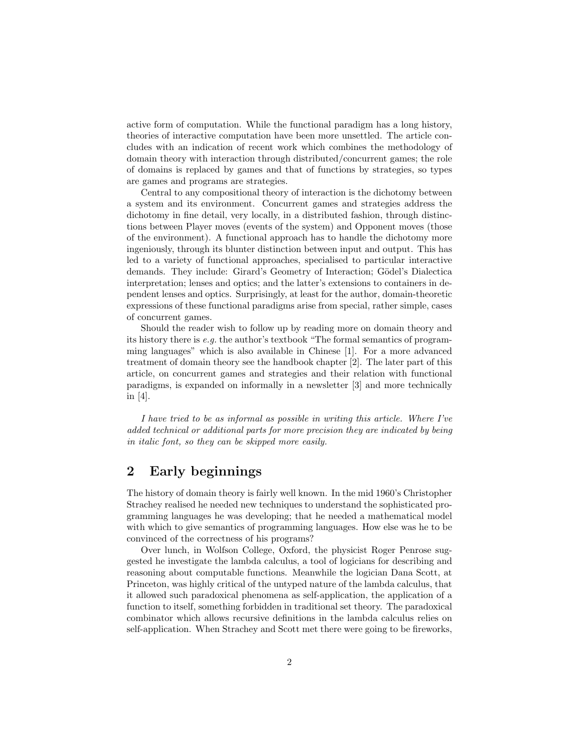active form of computation. While the functional paradigm has a long history, theories of interactive computation have been more unsettled. The article concludes with an indication of recent work which combines the methodology of domain theory with interaction through distributed/concurrent games; the role of domains is replaced by games and that of functions by strategies, so types are games and programs are strategies.

Central to any compositional theory of interaction is the dichotomy between a system and its environment. Concurrent games and strategies address the dichotomy in fine detail, very locally, in a distributed fashion, through distinctions between Player moves (events of the system) and Opponent moves (those of the environment). A functional approach has to handle the dichotomy more ingeniously, through its blunter distinction between input and output. This has led to a variety of functional approaches, specialised to particular interactive demands. They include: Girard's Geometry of Interaction; Gödel's Dialectica interpretation; lenses and optics; and the latter's extensions to containers in dependent lenses and optics. Surprisingly, at least for the author, domain-theoretic expressions of these functional paradigms arise from special, rather simple, cases of concurrent games.

Should the reader wish to follow up by reading more on domain theory and its history there is e.g. the author's textbook "The formal semantics of programming languages" which is also available in Chinese [1]. For a more advanced treatment of domain theory see the handbook chapter [2]. The later part of this article, on concurrent games and strategies and their relation with functional paradigms, is expanded on informally in a newsletter [3] and more technically in [4].

I have tried to be as informal as possible in writing this article. Where I've added technical or additional parts for more precision they are indicated by being in italic font, so they can be skipped more easily.

### 2 Early beginnings

The history of domain theory is fairly well known. In the mid 1960's Christopher Strachey realised he needed new techniques to understand the sophisticated programming languages he was developing; that he needed a mathematical model with which to give semantics of programming languages. How else was he to be convinced of the correctness of his programs?

Over lunch, in Wolfson College, Oxford, the physicist Roger Penrose suggested he investigate the lambda calculus, a tool of logicians for describing and reasoning about computable functions. Meanwhile the logician Dana Scott, at Princeton, was highly critical of the untyped nature of the lambda calculus, that it allowed such paradoxical phenomena as self-application, the application of a function to itself, something forbidden in traditional set theory. The paradoxical combinator which allows recursive definitions in the lambda calculus relies on self-application. When Strachey and Scott met there were going to be fireworks,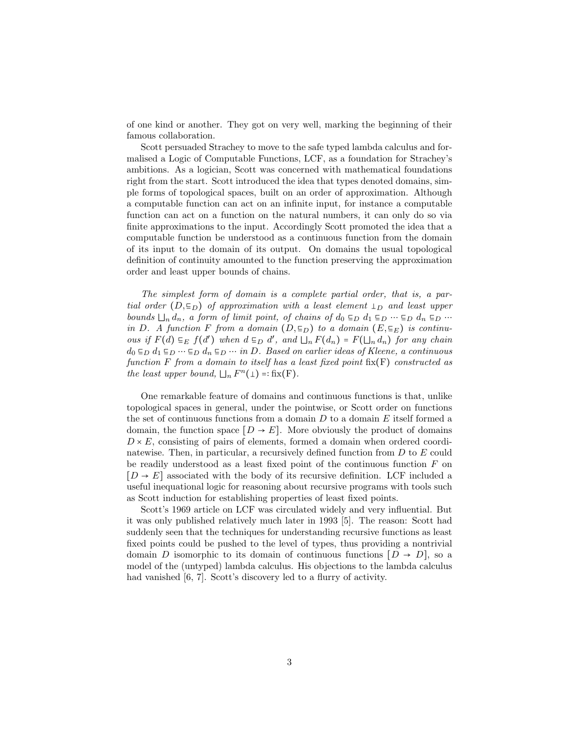of one kind or another. They got on very well, marking the beginning of their famous collaboration.

Scott persuaded Strachey to move to the safe typed lambda calculus and formalised a Logic of Computable Functions, LCF, as a foundation for Strachey's ambitions. As a logician, Scott was concerned with mathematical foundations right from the start. Scott introduced the idea that types denoted domains, simple forms of topological spaces, built on an order of approximation. Although a computable function can act on an infinite input, for instance a computable function can act on a function on the natural numbers, it can only do so via finite approximations to the input. Accordingly Scott promoted the idea that a computable function be understood as a continuous function from the domain of its input to the domain of its output. On domains the usual topological definition of continuity amounted to the function preserving the approximation order and least upper bounds of chains.

The simplest form of domain is a complete partial order, that is, a partial order  $(D, \epsilon_D)$  of approximation with a least element  $\perp_D$  and least upper bounds  $\Box_n d_n$ , a form of limit point, of chains of  $d_0 \varepsilon_D d_1 \varepsilon_D \cdots \varepsilon_D d_n \varepsilon_D \cdots$ in D. A function F from a domain  $(D, \epsilon_D)$  to a domain  $(E, \epsilon_E)$  is continuous if  $F(d) \subseteq_E f(d')$  when  $d \subseteq_D d'$ , and  $\Box_n F(d_n) = F(\Box_n d_n)$  for any chain  $d_0 \nightharpoonup_D d_1 \nightharpoonup_D \cdots \nightharpoonup_D d_n \nightharpoonup_D \cdots$  in D. Based on earlier ideas of Kleene, a continuous function F from a domain to itself has a least fixed point  $fix(F)$  constructed as the least upper bound,  $\Box_n F^n(\bot) =$ : fix(F).

One remarkable feature of domains and continuous functions is that, unlike topological spaces in general, under the pointwise, or Scott order on functions the set of continuous functions from a domain  $D$  to a domain  $E$  itself formed a domain, the function space  $[D \rightarrow E]$ . More obviously the product of domains  $D \times E$ , consisting of pairs of elements, formed a domain when ordered coordinatewise. Then, in particular, a recursively defined function from D to E could be readily understood as a least fixed point of the continuous function  $F$  on  $[D \rightarrow E]$  associated with the body of its recursive definition. LCF included a useful inequational logic for reasoning about recursive programs with tools such as Scott induction for establishing properties of least fixed points.

Scott's 1969 article on LCF was circulated widely and very influential. But it was only published relatively much later in 1993 [5]. The reason: Scott had suddenly seen that the techniques for understanding recursive functions as least fixed points could be pushed to the level of types, thus providing a nontrivial domain D isomorphic to its domain of continuous functions  $[D \rightarrow D]$ , so a model of the (untyped) lambda calculus. His objections to the lambda calculus had vanished [6, 7]. Scott's discovery led to a flurry of activity.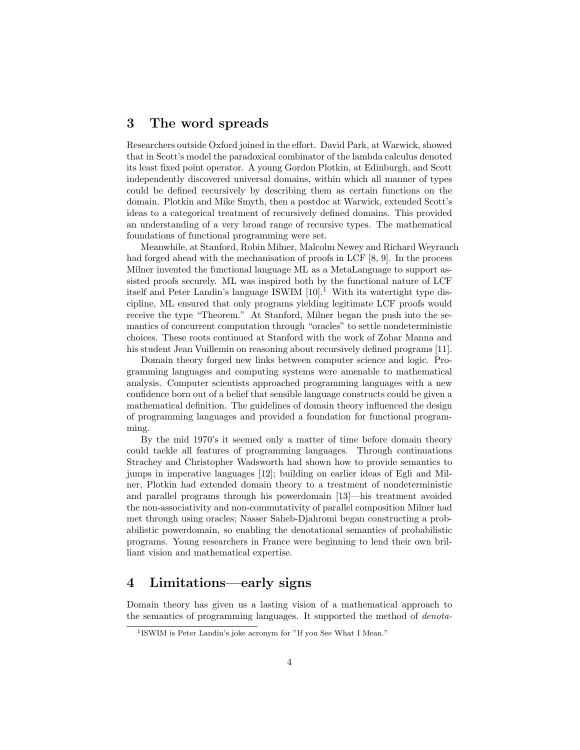### 3 The word spreads

Researchers outside Oxford joined in the effort. David Park, at Warwick, showed that in Scott's model the paradoxical combinator of the lambda calculus denoted its least fixed point operator. A young Gordon Plotkin, at Edinburgh, and Scott independently discovered universal domains, within which all manner of types could be defined recursively by describing them as certain functions on the domain. Plotkin and Mike Smyth, then a postdoc at Warwick, extended Scott's ideas to a categorical treatment of recursively defined domains. This provided an understanding of a very broad range of recursive types. The mathematical foundations of functional programming were set.

Meanwhile, at Stanford, Robin Milner, Malcolm Newey and Richard Weyrauch had forged ahead with the mechanisation of proofs in LCF [8, 9]. In the process Milner invented the functional language ML as a MetaLanguage to support assisted proofs securely. ML was inspired both by the functional nature of LCF itself and Peter Landin's language ISWIM  $[10]$ .<sup>1</sup> With its watertight type discipline, ML ensured that only programs yielding legitimate LCF proofs would receive the type "Theorem." At Stanford, Milner began the push into the semantics of concurrent computation through "oracles" to settle nondeterministic choices. These roots continued at Stanford with the work of Zohar Manna and his student Jean Vuillemin on reasoning about recursively defined programs [11].

Domain theory forged new links between computer science and logic. Programming languages and computing systems were amenable to mathematical analysis. Computer scientists approached programming languages with a new confidence born out of a belief that sensible language constructs could be given a mathematical definition. The guidelines of domain theory influenced the design of programming languages and provided a foundation for functional programming.

By the mid 1970's it seemed only a matter of time before domain theory could tackle all features of programming languages. Through continuations Strachey and Christopher Wadsworth had shown how to provide semantics to jumps in imperative languages [12]; building on earlier ideas of Egli and Milner, Plotkin had extended domain theory to a treatment of nondeterministic and parallel programs through his powerdomain [13]—his treatment avoided the non-associativity and non-commutativity of parallel composition Milner had met through using oracles; Nasser Saheb-Djahromi began constructing a probabilistic powerdomain, so enabling the denotational semantics of probabilistic programs. Young researchers in France were beginning to lend their own brilliant vision and mathematical expertise.

### 4 Limitations—early signs

Domain theory has given us a lasting vision of a mathematical approach to the semantics of programming languages. It supported the method of denota-

<sup>&</sup>lt;sup>1</sup> ISWIM is Peter Landin's joke acronym for "If you See What I Mean."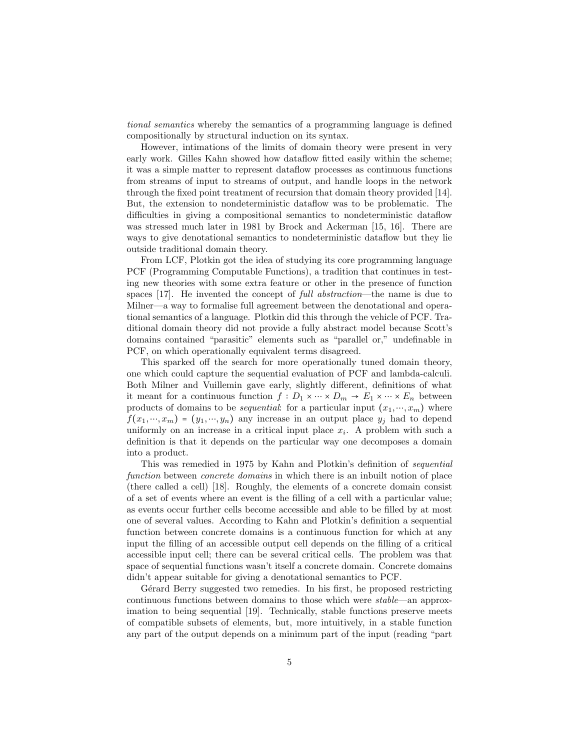tional semantics whereby the semantics of a programming language is defined compositionally by structural induction on its syntax.

However, intimations of the limits of domain theory were present in very early work. Gilles Kahn showed how dataflow fitted easily within the scheme; it was a simple matter to represent dataflow processes as continuous functions from streams of input to streams of output, and handle loops in the network through the fixed point treatment of recursion that domain theory provided [14]. But, the extension to nondeterministic dataflow was to be problematic. The difficulties in giving a compositional semantics to nondeterministic dataflow was stressed much later in 1981 by Brock and Ackerman [15, 16]. There are ways to give denotational semantics to nondeterministic dataflow but they lie outside traditional domain theory.

From LCF, Plotkin got the idea of studying its core programming language PCF (Programming Computable Functions), a tradition that continues in testing new theories with some extra feature or other in the presence of function spaces [17]. He invented the concept of full abstraction—the name is due to Milner—a way to formalise full agreement between the denotational and operational semantics of a language. Plotkin did this through the vehicle of PCF. Traditional domain theory did not provide a fully abstract model because Scott's domains contained "parasitic" elements such as "parallel or," undefinable in PCF, on which operationally equivalent terms disagreed.

This sparked off the search for more operationally tuned domain theory, one which could capture the sequential evaluation of PCF and lambda-calculi. Both Milner and Vuillemin gave early, slightly different, definitions of what it meant for a continuous function  $f : D_1 \times \cdots \times D_m \to E_1 \times \cdots \times E_n$  between products of domains to be *sequential*: for a particular input  $(x_1, ..., x_m)$  where  $f(x_1, ..., x_m) = (y_1, ..., y_n)$  any increase in an output place  $y_i$  had to depend uniformly on an increase in a critical input place  $x_i$ . A problem with such a definition is that it depends on the particular way one decomposes a domain into a product.

This was remedied in 1975 by Kahn and Plotkin's definition of sequential function between *concrete domains* in which there is an inbuilt notion of place (there called a cell) [18]. Roughly, the elements of a concrete domain consist of a set of events where an event is the filling of a cell with a particular value; as events occur further cells become accessible and able to be filled by at most one of several values. According to Kahn and Plotkin's definition a sequential function between concrete domains is a continuous function for which at any input the filling of an accessible output cell depends on the filling of a critical accessible input cell; there can be several critical cells. The problem was that space of sequential functions wasn't itself a concrete domain. Concrete domains didn't appear suitable for giving a denotational semantics to PCF.

Gérard Berry suggested two remedies. In his first, he proposed restricting continuous functions between domains to those which were stable—an approximation to being sequential [19]. Technically, stable functions preserve meets of compatible subsets of elements, but, more intuitively, in a stable function any part of the output depends on a minimum part of the input (reading "part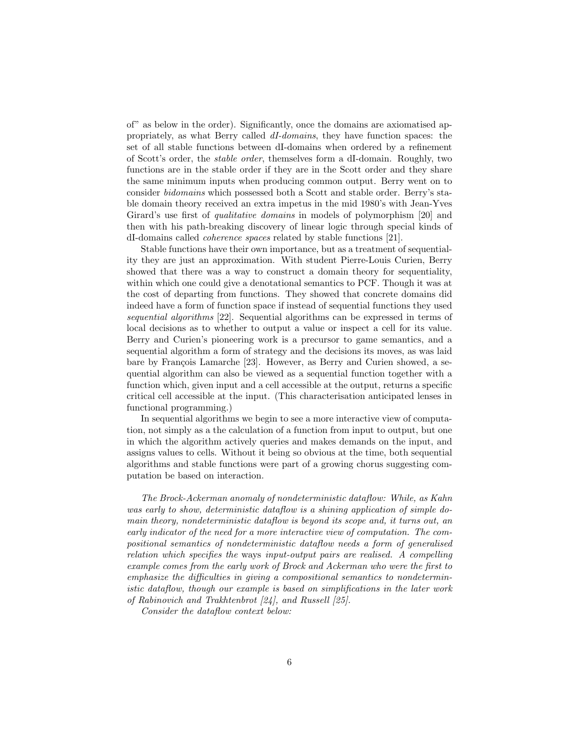of" as below in the order). Significantly, once the domains are axiomatised appropriately, as what Berry called dI-domains, they have function spaces: the set of all stable functions between dI-domains when ordered by a refinement of Scott's order, the stable order, themselves form a dI-domain. Roughly, two functions are in the stable order if they are in the Scott order and they share the same minimum inputs when producing common output. Berry went on to consider bidomains which possessed both a Scott and stable order. Berry's stable domain theory received an extra impetus in the mid 1980's with Jean-Yves Girard's use first of qualitative domains in models of polymorphism [20] and then with his path-breaking discovery of linear logic through special kinds of dI-domains called coherence spaces related by stable functions [21].

Stable functions have their own importance, but as a treatment of sequentiality they are just an approximation. With student Pierre-Louis Curien, Berry showed that there was a way to construct a domain theory for sequentiality, within which one could give a denotational semantics to PCF. Though it was at the cost of departing from functions. They showed that concrete domains did indeed have a form of function space if instead of sequential functions they used sequential algorithms [22]. Sequential algorithms can be expressed in terms of local decisions as to whether to output a value or inspect a cell for its value. Berry and Curien's pioneering work is a precursor to game semantics, and a sequential algorithm a form of strategy and the decisions its moves, as was laid bare by François Lamarche [23]. However, as Berry and Curien showed, a sequential algorithm can also be viewed as a sequential function together with a function which, given input and a cell accessible at the output, returns a specific critical cell accessible at the input. (This characterisation anticipated lenses in functional programming.)

In sequential algorithms we begin to see a more interactive view of computation, not simply as a the calculation of a function from input to output, but one in which the algorithm actively queries and makes demands on the input, and assigns values to cells. Without it being so obvious at the time, both sequential algorithms and stable functions were part of a growing chorus suggesting computation be based on interaction.

The Brock-Ackerman anomaly of nondeterministic dataflow: While, as Kahn was early to show, deterministic dataflow is a shining application of simple domain theory, nondeterministic dataflow is beyond its scope and, it turns out, an early indicator of the need for a more interactive view of computation. The compositional semantics of nondeterministic dataflow needs a form of generalised relation which specifies the ways input-output pairs are realised. A compelling example comes from the early work of Brock and Ackerman who were the first to emphasize the difficulties in giving a compositional semantics to nondeterministic dataflow, though our example is based on simplifications in the later work of Rabinovich and Trakhtenbrot [24], and Russell [25].

Consider the dataflow context below: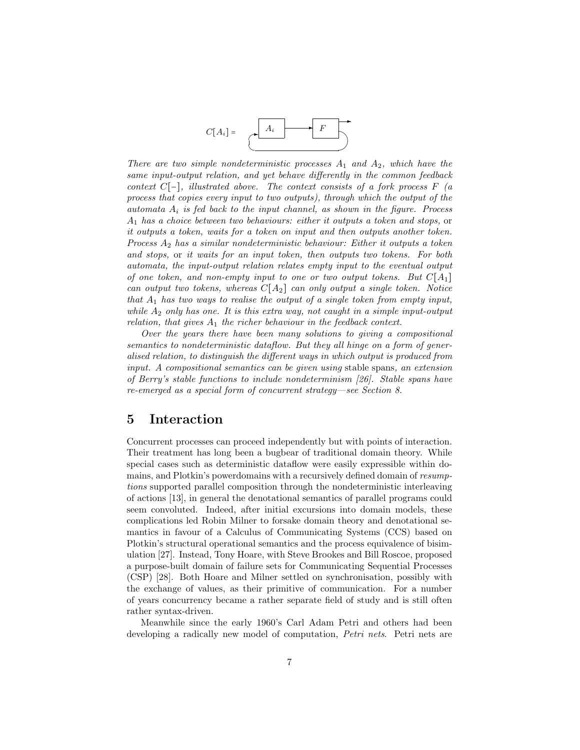

There are two simple nondeterministic processes  $A_1$  and  $A_2$ , which have the same input-output relation, and yet behave differently in the common feedback context  $C[-]$ , illustrated above. The context consists of a fork process  $F(a)$ process that copies every input to two outputs), through which the output of the automata  $A_i$  is fed back to the input channel, as shown in the figure. Process  $A_1$  has a choice between two behaviours: either it outputs a token and stops, or it outputs a token, waits for a token on input and then outputs another token. Process  $A_2$  has a similar nondeterministic behaviour: Either it outputs a token and stops, or it waits for an input token, then outputs two tokens. For both automata, the input-output relation relates empty input to the eventual output of one token, and non-empty input to one or two output tokens. But  $C[A_1]$ can output two tokens, whereas  $C[A_2]$  can only output a single token. Notice that  $A_1$  has two ways to realise the output of a single token from empty input, while  $A_2$  only has one. It is this extra way, not caught in a simple input-output relation, that gives  $A_1$  the richer behaviour in the feedback context.

Over the years there have been many solutions to giving a compositional semantics to nondeterministic dataflow. But they all hinge on a form of generalised relation, to distinguish the different ways in which output is produced from input. A compositional semantics can be given using stable spans, an extension of Berry's stable functions to include nondeterminism [26]. Stable spans have re-emerged as a special form of concurrent strategy—see Section 8.

### 5 Interaction

Concurrent processes can proceed independently but with points of interaction. Their treatment has long been a bugbear of traditional domain theory. While special cases such as deterministic dataflow were easily expressible within domains, and Plotkin's powerdomains with a recursively defined domain of resumptions supported parallel composition through the nondeterministic interleaving of actions [13], in general the denotational semantics of parallel programs could seem convoluted. Indeed, after initial excursions into domain models, these complications led Robin Milner to forsake domain theory and denotational semantics in favour of a Calculus of Communicating Systems (CCS) based on Plotkin's structural operational semantics and the process equivalence of bisimulation [27]. Instead, Tony Hoare, with Steve Brookes and Bill Roscoe, proposed a purpose-built domain of failure sets for Communicating Sequential Processes (CSP) [28]. Both Hoare and Milner settled on synchronisation, possibly with the exchange of values, as their primitive of communication. For a number of years concurrency became a rather separate field of study and is still often rather syntax-driven.

Meanwhile since the early 1960's Carl Adam Petri and others had been developing a radically new model of computation, *Petri nets*. Petri nets are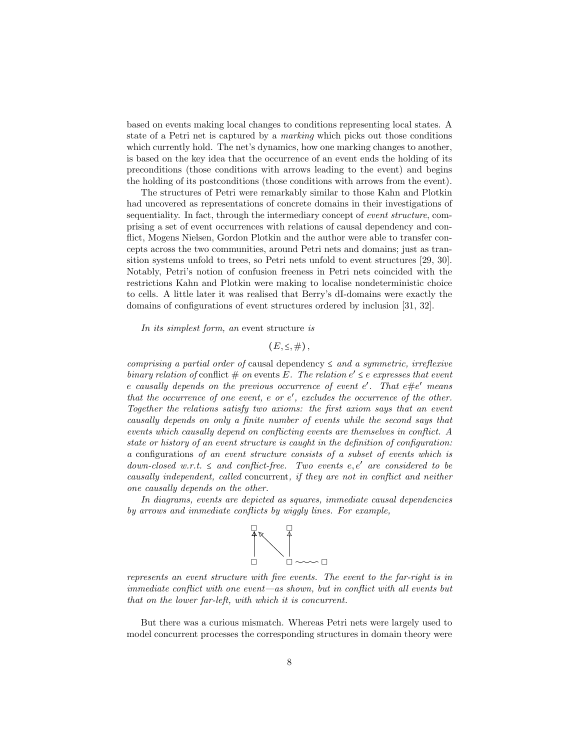based on events making local changes to conditions representing local states. A state of a Petri net is captured by a marking which picks out those conditions which currently hold. The net's dynamics, how one marking changes to another, is based on the key idea that the occurrence of an event ends the holding of its preconditions (those conditions with arrows leading to the event) and begins the holding of its postconditions (those conditions with arrows from the event).

The structures of Petri were remarkably similar to those Kahn and Plotkin had uncovered as representations of concrete domains in their investigations of sequentiality. In fact, through the intermediary concept of event structure, comprising a set of event occurrences with relations of causal dependency and conflict, Mogens Nielsen, Gordon Plotkin and the author were able to transfer concepts across the two communities, around Petri nets and domains; just as transition systems unfold to trees, so Petri nets unfold to event structures [29, 30]. Notably, Petri's notion of confusion freeness in Petri nets coincided with the restrictions Kahn and Plotkin were making to localise nondeterministic choice to cells. A little later it was realised that Berry's dI-domains were exactly the domains of configurations of event structures ordered by inclusion [31, 32].

In its simplest form, an event structure is

 $(E, \leq, \#)$ ,

comprising a partial order of causal dependency  $\leq$  and a symmetric, irreflexive binary relation of conflict  $\#$  on events E. The relation  $e' \leq e$  expresses that event e causally depends on the previous occurrence of event  $e'$ . That  $e\#e'$  means that the occurrence of one event,  $e$  or  $e'$ , excludes the occurrence of the other. Together the relations satisfy two axioms: the first axiom says that an event causally depends on only a finite number of events while the second says that events which causally depend on conflicting events are themselves in conflict. A state or history of an event structure is caught in the definition of configuration: a configurations of an event structure consists of a subset of events which is down-closed w.r.t.  $\leq$  and conflict-free. Two events e, e' are considered to be causally independent, called concurrent, if they are not in conflict and neither one causally depends on the other.

In diagrams, events are depicted as squares, immediate causal dependencies by arrows and immediate conflicts by wiggly lines. For example,



represents an event structure with five events. The event to the far-right is in immediate conflict with one event—as shown, but in conflict with all events but that on the lower far-left, with which it is concurrent.

But there was a curious mismatch. Whereas Petri nets were largely used to model concurrent processes the corresponding structures in domain theory were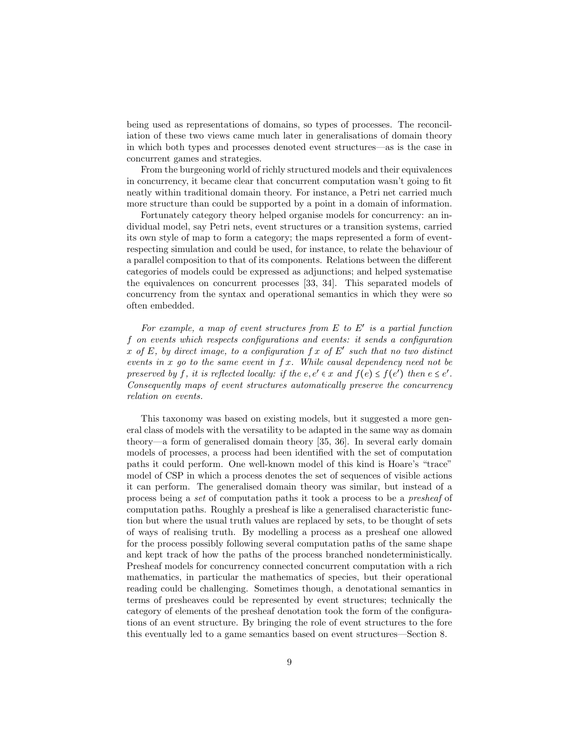being used as representations of domains, so types of processes. The reconciliation of these two views came much later in generalisations of domain theory in which both types and processes denoted event structures—as is the case in concurrent games and strategies.

From the burgeoning world of richly structured models and their equivalences in concurrency, it became clear that concurrent computation wasn't going to fit neatly within traditional domain theory. For instance, a Petri net carried much more structure than could be supported by a point in a domain of information.

Fortunately category theory helped organise models for concurrency: an individual model, say Petri nets, event structures or a transition systems, carried its own style of map to form a category; the maps represented a form of eventrespecting simulation and could be used, for instance, to relate the behaviour of a parallel composition to that of its components. Relations between the different categories of models could be expressed as adjunctions; and helped systematise the equivalences on concurrent processes [33, 34]. This separated models of concurrency from the syntax and operational semantics in which they were so often embedded.

For example, a map of event structures from  $E$  to  $E'$  is a partial function f on events which respects configurations and events: it sends a configuration x of E, by direct image, to a configuration  $f x$  of E' such that no two distinct events in x go to the same event in  $f(x)$ . While causal dependency need not be preserved by f, it is reflected locally: if the  $e, e' \in x$  and  $f(e) \leq f(e')$  then  $e \leq e'$ . Consequently maps of event structures automatically preserve the concurrency relation on events.

This taxonomy was based on existing models, but it suggested a more general class of models with the versatility to be adapted in the same way as domain theory—a form of generalised domain theory [35, 36]. In several early domain models of processes, a process had been identified with the set of computation paths it could perform. One well-known model of this kind is Hoare's "trace" model of CSP in which a process denotes the set of sequences of visible actions it can perform. The generalised domain theory was similar, but instead of a process being a set of computation paths it took a process to be a presheaf of computation paths. Roughly a presheaf is like a generalised characteristic function but where the usual truth values are replaced by sets, to be thought of sets of ways of realising truth. By modelling a process as a presheaf one allowed for the process possibly following several computation paths of the same shape and kept track of how the paths of the process branched nondeterministically. Presheaf models for concurrency connected concurrent computation with a rich mathematics, in particular the mathematics of species, but their operational reading could be challenging. Sometimes though, a denotational semantics in terms of presheaves could be represented by event structures; technically the category of elements of the presheaf denotation took the form of the configurations of an event structure. By bringing the role of event structures to the fore this eventually led to a game semantics based on event structures—Section 8.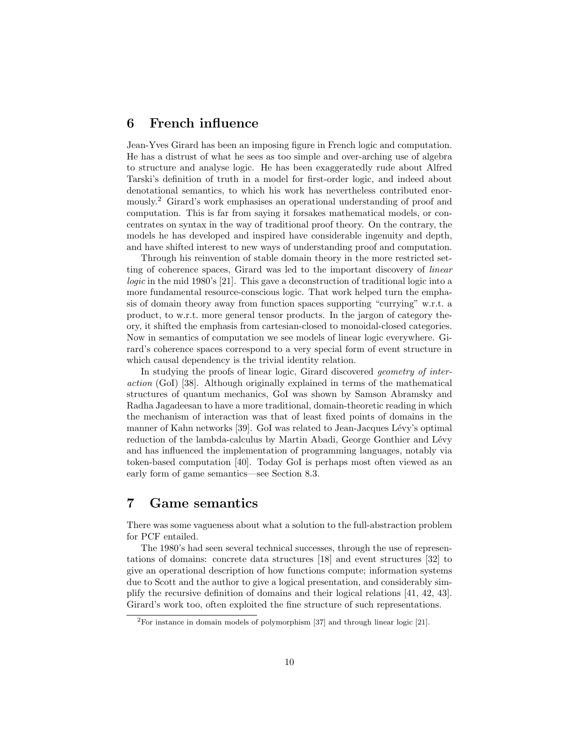### 6 French influence

Jean-Yves Girard has been an imposing figure in French logic and computation. He has a distrust of what he sees as too simple and over-arching use of algebra to structure and analyse logic. He has been exaggeratedly rude about Alfred Tarski's definition of truth in a model for first-order logic, and indeed about denotational semantics, to which his work has nevertheless contributed enormously.<sup>2</sup> Girard's work emphasises an operational understanding of proof and computation. This is far from saying it forsakes mathematical models, or concentrates on syntax in the way of traditional proof theory. On the contrary, the models he has developed and inspired have considerable ingenuity and depth, and have shifted interest to new ways of understanding proof and computation.

Through his reinvention of stable domain theory in the more restricted setting of coherence spaces, Girard was led to the important discovery of linear logic in the mid 1980's [21]. This gave a deconstruction of traditional logic into a more fundamental resource-conscious logic. That work helped turn the emphasis of domain theory away from function spaces supporting "currying" w.r.t. a product, to w.r.t. more general tensor products. In the jargon of category theory, it shifted the emphasis from cartesian-closed to monoidal-closed categories. Now in semantics of computation we see models of linear logic everywhere. Girard's coherence spaces correspond to a very special form of event structure in which causal dependency is the trivial identity relation.

In studying the proofs of linear logic, Girard discovered *geometry of inter*action (GoI) [38]. Although originally explained in terms of the mathematical structures of quantum mechanics, GoI was shown by Samson Abramsky and Radha Jagadeesan to have a more traditional, domain-theoretic reading in which the mechanism of interaction was that of least fixed points of domains in the manner of Kahn networks [39]. GoI was related to Jean-Jacques Lévy's optimal reduction of the lambda-calculus by Martin Abadi, George Gonthier and Lévy and has influenced the implementation of programming languages, notably via token-based computation [40]. Today GoI is perhaps most often viewed as an early form of game semantics—see Section 8.3.

### 7 Game semantics

There was some vagueness about what a solution to the full-abstraction problem for PCF entailed.

The 1980's had seen several technical successes, through the use of representations of domains: concrete data structures [18] and event structures [32] to give an operational description of how functions compute; information systems due to Scott and the author to give a logical presentation, and considerably simplify the recursive definition of domains and their logical relations [41, 42, 43]. Girard's work too, often exploited the fine structure of such representations.

 ${}^{2}$ For instance in domain models of polymorphism [37] and through linear logic [21].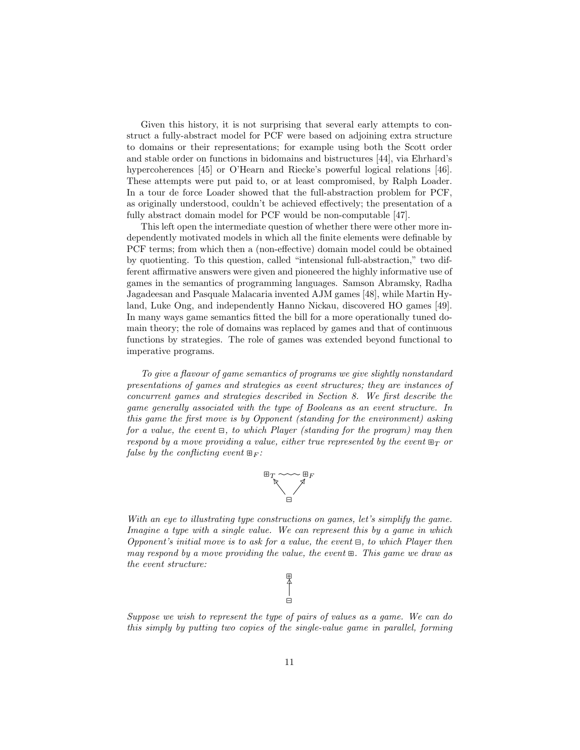Given this history, it is not surprising that several early attempts to construct a fully-abstract model for PCF were based on adjoining extra structure to domains or their representations; for example using both the Scott order and stable order on functions in bidomains and bistructures [44], via Ehrhard's hypercoherences [45] or O'Hearn and Riecke's powerful logical relations [46]. These attempts were put paid to, or at least compromised, by Ralph Loader. In a tour de force Loader showed that the full-abstraction problem for PCF, as originally understood, couldn't be achieved effectively; the presentation of a fully abstract domain model for PCF would be non-computable [47].

This left open the intermediate question of whether there were other more independently motivated models in which all the finite elements were definable by PCF terms; from which then a (non-effective) domain model could be obtained by quotienting. To this question, called "intensional full-abstraction," two different affirmative answers were given and pioneered the highly informative use of games in the semantics of programming languages. Samson Abramsky, Radha Jagadeesan and Pasquale Malacaria invented AJM games [48], while Martin Hyland, Luke Ong, and independently Hanno Nickau, discovered HO games [49]. In many ways game semantics fitted the bill for a more operationally tuned domain theory; the role of domains was replaced by games and that of continuous functions by strategies. The role of games was extended beyond functional to imperative programs.

To give a flavour of game semantics of programs we give slightly nonstandard presentations of games and strategies as event structures; they are instances of concurrent games and strategies described in Section 8. We first describe the game generally associated with the type of Booleans as an event structure. In this game the first move is by Opponent (standing for the environment) asking for a value, the event  $\Xi$ , to which Player (standing for the program) may then respond by a move providing a value, either true represented by the event  $\mathbb{H}_T$  or false by the conflicting event  $\mathbb{E}_F$ :



With an eye to illustrating type constructions on games, let's simplify the game. Imagine a type with a single value. We can represent this by a game in which Opponent's initial move is to ask for a value, the event  $\Xi$ , to which Player then may respond by a move providing the value, the event ⊞. This game we draw as the event structure:

> ⊞ ⊟ ❴ LLR

Suppose we wish to represent the type of pairs of values as a game. We can do this simply by putting two copies of the single-value game in parallel, forming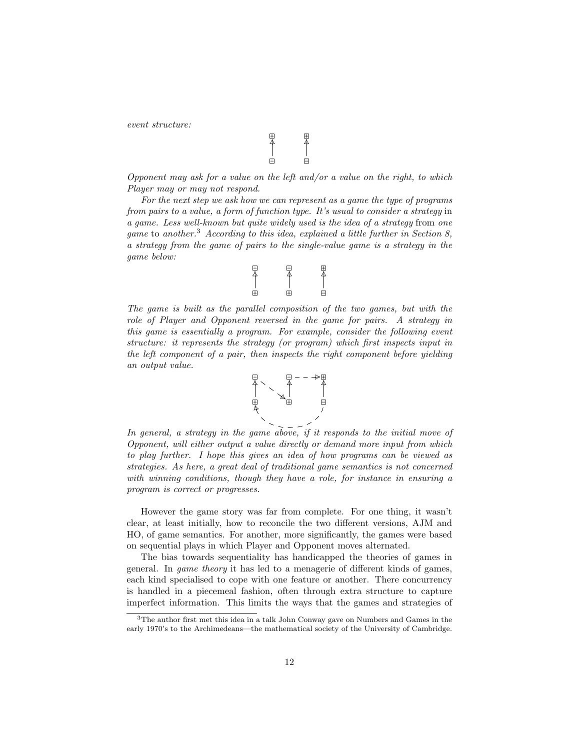event structure:

$$
\begin{array}{c}\n\boxplus \\
\uparrow \\
\uparrow \\
\boxminus\n\end{array}
$$

Opponent may ask for a value on the left and/or a value on the right, to which Player may or may not respond.

For the next step we ask how we can represent as a game the type of programs from pairs to a value, a form of function type. It's usual to consider a strategy in a game. Less well-known but quite widely used is the idea of a strategy from one game to another.<sup>3</sup> According to this idea, explained a little further in Section 8, a strategy from the game of pairs to the single-value game is a strategy in the game below:

$$
\begin{bmatrix} \square & \square & \square & \square \\ \triangle & \parallel & \parallel & \parallel \\ \square & \square & \square & \square \end{bmatrix}
$$

The game is built as the parallel composition of the two games, but with the role of Player and Opponent reversed in the game for pairs. A strategy in this game is essentially a program. For example, consider the following event structure: it represents the strategy (or program) which first inspects input in the left component of a pair, then inspects the right component before yielding an output value.



In general, a strategy in the game above, if it responds to the initial move of Opponent, will either output a value directly or demand more input from which to play further. I hope this gives an idea of how programs can be viewed as strategies. As here, a great deal of traditional game semantics is not concerned with winning conditions, though they have a role, for instance in ensuring a program is correct or progresses.

However the game story was far from complete. For one thing, it wasn't clear, at least initially, how to reconcile the two different versions, AJM and HO, of game semantics. For another, more significantly, the games were based on sequential plays in which Player and Opponent moves alternated.

The bias towards sequentiality has handicapped the theories of games in general. In game theory it has led to a menagerie of different kinds of games, each kind specialised to cope with one feature or another. There concurrency is handled in a piecemeal fashion, often through extra structure to capture imperfect information. This limits the ways that the games and strategies of

<sup>3</sup>The author first met this idea in a talk John Conway gave on Numbers and Games in the early 1970's to the Archimedeans—the mathematical society of the University of Cambridge.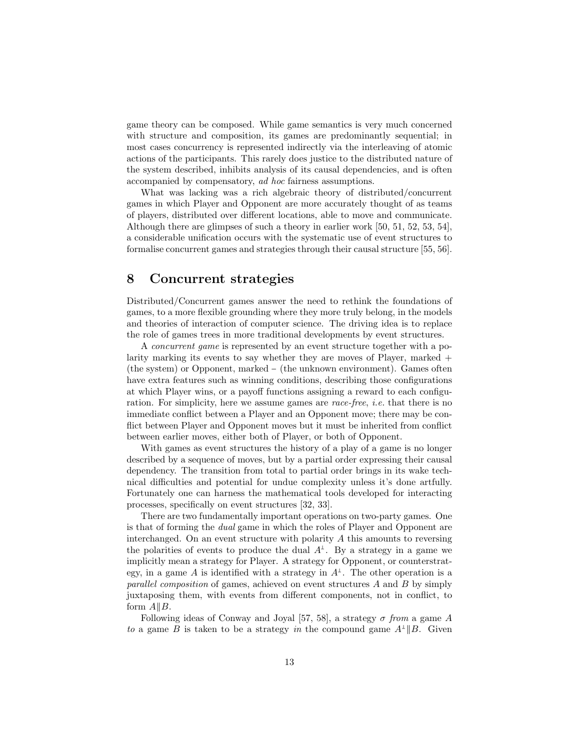game theory can be composed. While game semantics is very much concerned with structure and composition, its games are predominantly sequential; in most cases concurrency is represented indirectly via the interleaving of atomic actions of the participants. This rarely does justice to the distributed nature of the system described, inhibits analysis of its causal dependencies, and is often accompanied by compensatory, ad hoc fairness assumptions.

What was lacking was a rich algebraic theory of distributed/concurrent games in which Player and Opponent are more accurately thought of as teams of players, distributed over different locations, able to move and communicate. Although there are glimpses of such a theory in earlier work [50, 51, 52, 53, 54], a considerable unification occurs with the systematic use of event structures to formalise concurrent games and strategies through their causal structure [55, 56].

### 8 Concurrent strategies

Distributed/Concurrent games answer the need to rethink the foundations of games, to a more flexible grounding where they more truly belong, in the models and theories of interaction of computer science. The driving idea is to replace the role of games trees in more traditional developments by event structures.

A concurrent game is represented by an event structure together with a polarity marking its events to say whether they are moves of Player, marked  $+$ (the system) or Opponent, marked − (the unknown environment). Games often have extra features such as winning conditions, describing those configurations at which Player wins, or a payoff functions assigning a reward to each configuration. For simplicity, here we assume games are race-free, i.e. that there is no immediate conflict between a Player and an Opponent move; there may be conflict between Player and Opponent moves but it must be inherited from conflict between earlier moves, either both of Player, or both of Opponent.

With games as event structures the history of a play of a game is no longer described by a sequence of moves, but by a partial order expressing their causal dependency. The transition from total to partial order brings in its wake technical difficulties and potential for undue complexity unless it's done artfully. Fortunately one can harness the mathematical tools developed for interacting processes, specifically on event structures [32, 33].

There are two fundamentally important operations on two-party games. One is that of forming the dual game in which the roles of Player and Opponent are interchanged. On an event structure with polarity A this amounts to reversing the polarities of events to produce the dual  $A^{\perp}$ . By a strategy in a game we implicitly mean a strategy for Player. A strategy for Opponent, or counterstrategy, in a game A is identified with a strategy in  $A^{\perp}$ . The other operation is a parallel composition of games, achieved on event structures A and B by simply juxtaposing them, with events from different components, not in conflict, to form  $A||B$ .

Following ideas of Conway and Joyal [57, 58], a strategy  $\sigma$  from a game A to a game B is taken to be a strategy in the compound game  $A^{\perp}||B$ . Given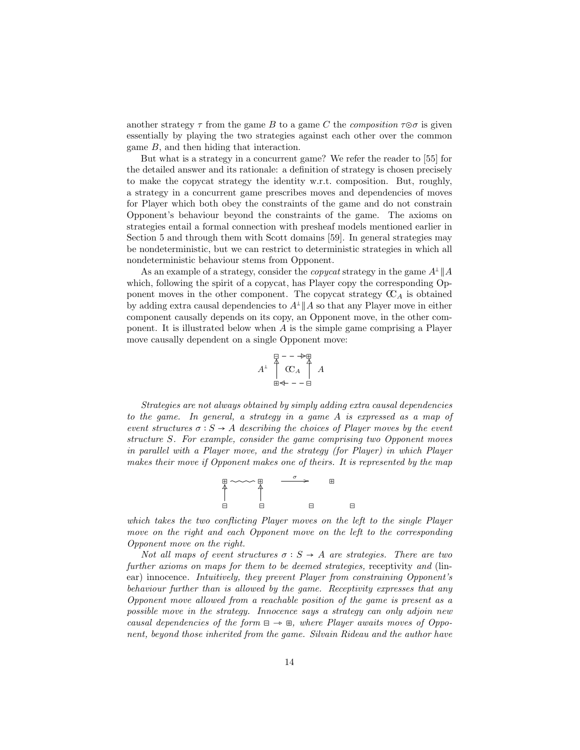another strategy  $\tau$  from the game B to a game C the *composition*  $\tau \odot \sigma$  is given essentially by playing the two strategies against each other over the common game B, and then hiding that interaction.

But what is a strategy in a concurrent game? We refer the reader to [55] for the detailed answer and its rationale: a definition of strategy is chosen precisely to make the copycat strategy the identity w.r.t. composition. But, roughly, a strategy in a concurrent game prescribes moves and dependencies of moves for Player which both obey the constraints of the game and do not constrain Opponent's behaviour beyond the constraints of the game. The axioms on strategies entail a formal connection with presheaf models mentioned earlier in Section 5 and through them with Scott domains [59]. In general strategies may be nondeterministic, but we can restrict to deterministic strategies in which all nondeterministic behaviour stems from Opponent.

As an example of a strategy, consider the *copycat* strategy in the game  $A^{\perp}||A$ which, following the spirit of a copycat, has Player copy the corresponding Opponent moves in the other component. The copycat strategy  $\mathfrak{C}_A$  is obtained by adding extra causal dependencies to  $A^{\perp}||A$  so that any Player move in either component causally depends on its copy, an Opponent move, in the other component. It is illustrated below when A is the simple game comprising a Player move causally dependent on a single Opponent move:

$$
A^{\perp} \n\begin{array}{ccc}\n\Box & - & \rightarrow & \Box \\
\hline\n\uparrow & \mathbb{C} \\
\downarrow & \mathbb{C} \\
\Box & \rightarrow & \mathbb{C}\n\end{array}\nA
$$

Strategies are not always obtained by simply adding extra causal dependencies to the game. In general, a strategy in a game A is expressed as a map of event structures  $\sigma : S \to A$  describing the choices of Player moves by the event structure S. For example, consider the game comprising two Opponent moves in parallel with a Player move, and the strategy (for Player) in which Player makes their move if Opponent makes one of theirs. It is represented by the map



which takes the two conflicting Player moves on the left to the single Player move on the right and each Opponent move on the left to the corresponding Opponent move on the right.

Not all maps of event structures  $\sigma : S \to A$  are strategies. There are two further axioms on maps for them to be deemed strategies, receptivity and (linear) innocence. Intuitively, they prevent Player from constraining Opponent's behaviour further than is allowed by the game. Receptivity expresses that any Opponent move allowed from a reachable position of the game is present as a possible move in the strategy. Innocence says a strategy can only adjoin new causal dependencies of the form  $\Xi \rightarrow \Xi$ , where Player awaits moves of Opponent, beyond those inherited from the game. Silvain Rideau and the author have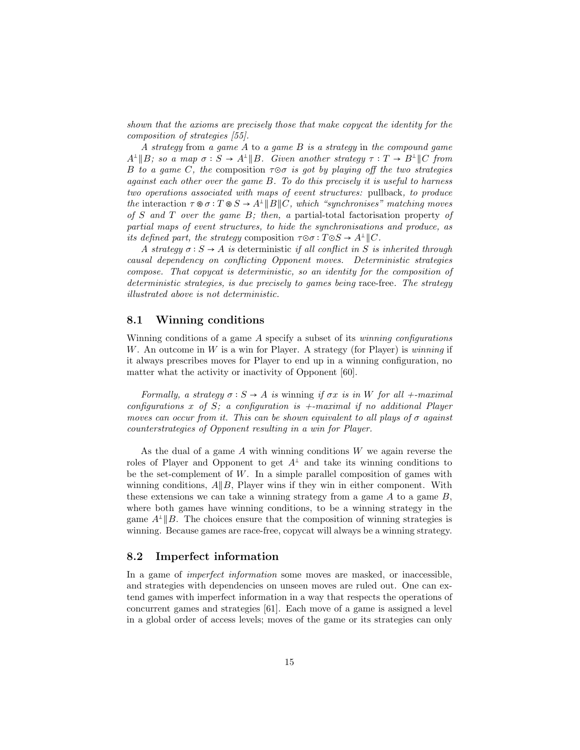shown that the axioms are precisely those that make copycat the identity for the composition of strategies [55].

A strategy from a game A to a game B is a strategy in the compound game  $A^{\perp}||B$ ; so a map  $\sigma : S \to A^{\perp}||B$ . Given another strategy  $\tau : T \to B^{\perp}||C$  from B to a game C, the composition  $\tau \circ \sigma$  is got by playing off the two strategies against each other over the game B. To do this precisely it is useful to harness two operations associated with maps of event structures: pullback, to produce the interaction  $\tau \otimes \sigma : T \otimes S \to A^{\perp} || B || C$ , which "synchronises" matching moves of S and T over the game  $B$ ; then, a partial-total factorisation property of partial maps of event structures, to hide the synchronisations and produce, as its defined part, the strategy composition  $\tau \circ \sigma : T \circ S \to A^{\perp} \parallel C$ .

A strategy  $\sigma : S \to A$  is deterministic if all conflict in S is inherited through causal dependency on conflicting Opponent moves. Deterministic strategies compose. That copycat is deterministic, so an identity for the composition of deterministic strategies, is due precisely to games being race-free. The strategy illustrated above is not deterministic.

### 8.1 Winning conditions

Winning conditions of a game  $A$  specify a subset of its *winning configurations* W. An outcome in W is a win for Player. A strategy (for Player) is winning if it always prescribes moves for Player to end up in a winning configuration, no matter what the activity or inactivity of Opponent [60].

Formally, a strategy  $\sigma : S \to A$  is winning if  $\sigma x$  is in W for all +-maximal configurations x of S; a configuration is  $+$ -maximal if no additional Player moves can occur from it. This can be shown equivalent to all plays of  $\sigma$  against counterstrategies of Opponent resulting in a win for Player.

As the dual of a game  $A$  with winning conditions  $W$  we again reverse the roles of Player and Opponent to get  $A^{\perp}$  and take its winning conditions to be the set-complement of  $W$ . In a simple parallel composition of games with winning conditions,  $A||B$ , Player wins if they win in either component. With these extensions we can take a winning strategy from a game  $A$  to a game  $B$ , where both games have winning conditions, to be a winning strategy in the game  $A^{\perp}$  || B. The choices ensure that the composition of winning strategies is winning. Because games are race-free, copycat will always be a winning strategy.

### 8.2 Imperfect information

In a game of imperfect information some moves are masked, or inaccessible, and strategies with dependencies on unseen moves are ruled out. One can extend games with imperfect information in a way that respects the operations of concurrent games and strategies [61]. Each move of a game is assigned a level in a global order of access levels; moves of the game or its strategies can only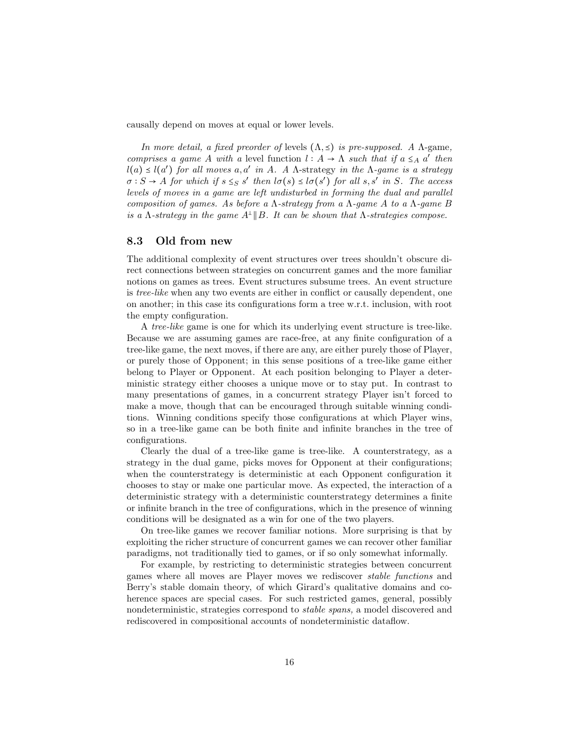causally depend on moves at equal or lower levels.

In more detail, a fixed preorder of levels  $(\Lambda, \leq)$  is pre-supposed. A  $\Lambda$ -game, comprises a game A with a level function  $l : A \to \Lambda$  such that if  $a \leq_A a'$  then  $l(a) \leq l(a')$  for all moves  $a, a'$  in A. A  $\Lambda$ -strategy in the  $\Lambda$ -game is a strategy  $\sigma : S \to A$  for which if  $s \leq_S s'$  then  $l\sigma(s) \leq l\sigma(s')$  for all  $s, s'$  in S. The access levels of moves in a game are left undisturbed in forming the dual and parallel composition of games. As before a  $\Lambda$ -strategy from a  $\Lambda$ -game A to a  $\Lambda$ -game B is a  $\Lambda$ -strategy in the game  $A^{\perp}||B$ . It can be shown that  $\Lambda$ -strategies compose.

#### 8.3 Old from new

The additional complexity of event structures over trees shouldn't obscure direct connections between strategies on concurrent games and the more familiar notions on games as trees. Event structures subsume trees. An event structure is tree-like when any two events are either in conflict or causally dependent, one on another; in this case its configurations form a tree w.r.t. inclusion, with root the empty configuration.

A tree-like game is one for which its underlying event structure is tree-like. Because we are assuming games are race-free, at any finite configuration of a tree-like game, the next moves, if there are any, are either purely those of Player, or purely those of Opponent; in this sense positions of a tree-like game either belong to Player or Opponent. At each position belonging to Player a deterministic strategy either chooses a unique move or to stay put. In contrast to many presentations of games, in a concurrent strategy Player isn't forced to make a move, though that can be encouraged through suitable winning conditions. Winning conditions specify those configurations at which Player wins, so in a tree-like game can be both finite and infinite branches in the tree of configurations.

Clearly the dual of a tree-like game is tree-like. A counterstrategy, as a strategy in the dual game, picks moves for Opponent at their configurations; when the counterstrategy is deterministic at each Opponent configuration it chooses to stay or make one particular move. As expected, the interaction of a deterministic strategy with a deterministic counterstrategy determines a finite or infinite branch in the tree of configurations, which in the presence of winning conditions will be designated as a win for one of the two players.

On tree-like games we recover familiar notions. More surprising is that by exploiting the richer structure of concurrent games we can recover other familiar paradigms, not traditionally tied to games, or if so only somewhat informally.

For example, by restricting to deterministic strategies between concurrent games where all moves are Player moves we rediscover stable functions and Berry's stable domain theory, of which Girard's qualitative domains and coherence spaces are special cases. For such restricted games, general, possibly nondeterministic, strategies correspond to stable spans, a model discovered and rediscovered in compositional accounts of nondeterministic dataflow.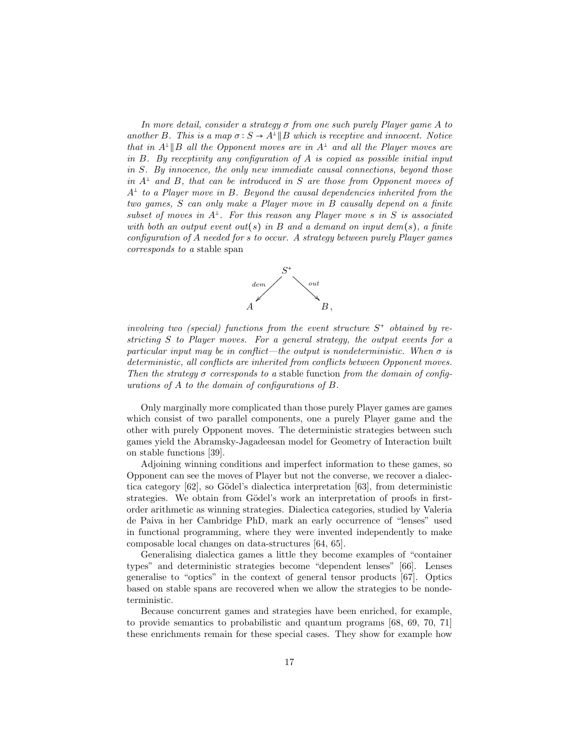In more detail, consider a strategy  $\sigma$  from one such purely Player game A to another B. This is a map  $\sigma : S \to A^{\perp} || B$  which is receptive and innocent. Notice that in  $A^{\perp}||B$  all the Opponent moves are in  $A^{\perp}$  and all the Player moves are in B. By receptivity any configuration of A is copied as possible initial input in S. By innocence, the only new immediate causal connections, beyond those in  $A^{\perp}$  and B, that can be introduced in S are those from Opponent moves of  $A^{\perp}$  to a Player move in B. Beyond the causal dependencies inherited from the two games, S can only make a Player move in B causally depend on a finite subset of moves in  $A^{\perp}$ . For this reason any Player move s in S is associated with both an output event out(s) in B and a demand on input dem(s), a finite configuration of A needed for s to occur. A strategy between purely Player games corresponds to a stable span



involving two (special) functions from the event structure  $S^+$  obtained by restricting S to Player moves. For a general strategy, the output events for a particular input may be in conflict—the output is nondeterministic. When  $\sigma$  is deterministic, all conflicts are inherited from conflicts between Opponent moves. Then the strategy  $\sigma$  corresponds to a stable function from the domain of configurations of A to the domain of configurations of B.

Only marginally more complicated than those purely Player games are games which consist of two parallel components, one a purely Player game and the other with purely Opponent moves. The deterministic strategies between such games yield the Abramsky-Jagadeesan model for Geometry of Interaction built on stable functions [39].

Adjoining winning conditions and imperfect information to these games, so Opponent can see the moves of Player but not the converse, we recover a dialectica category  $[62]$ , so Gödel's dialectica interpretation  $[63]$ , from deterministic strategies. We obtain from Gödel's work an interpretation of proofs in firstorder arithmetic as winning strategies. Dialectica categories, studied by Valeria de Paiva in her Cambridge PhD, mark an early occurrence of "lenses" used in functional programming, where they were invented independently to make composable local changes on data-structures [64, 65].

Generalising dialectica games a little they become examples of "container types" and deterministic strategies become "dependent lenses" [66]. Lenses generalise to "optics" in the context of general tensor products [67]. Optics based on stable spans are recovered when we allow the strategies to be nondeterministic.

Because concurrent games and strategies have been enriched, for example, to provide semantics to probabilistic and quantum programs [68, 69, 70, 71] these enrichments remain for these special cases. They show for example how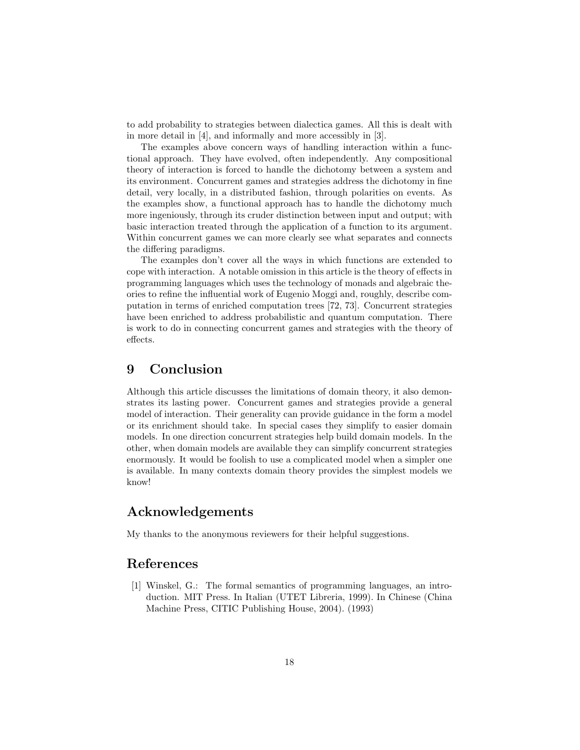to add probability to strategies between dialectica games. All this is dealt with in more detail in [4], and informally and more accessibly in [3].

The examples above concern ways of handling interaction within a functional approach. They have evolved, often independently. Any compositional theory of interaction is forced to handle the dichotomy between a system and its environment. Concurrent games and strategies address the dichotomy in fine detail, very locally, in a distributed fashion, through polarities on events. As the examples show, a functional approach has to handle the dichotomy much more ingeniously, through its cruder distinction between input and output; with basic interaction treated through the application of a function to its argument. Within concurrent games we can more clearly see what separates and connects the differing paradigms.

The examples don't cover all the ways in which functions are extended to cope with interaction. A notable omission in this article is the theory of effects in programming languages which uses the technology of monads and algebraic theories to refine the influential work of Eugenio Moggi and, roughly, describe computation in terms of enriched computation trees [72, 73]. Concurrent strategies have been enriched to address probabilistic and quantum computation. There is work to do in connecting concurrent games and strategies with the theory of effects.

### 9 Conclusion

Although this article discusses the limitations of domain theory, it also demonstrates its lasting power. Concurrent games and strategies provide a general model of interaction. Their generality can provide guidance in the form a model or its enrichment should take. In special cases they simplify to easier domain models. In one direction concurrent strategies help build domain models. In the other, when domain models are available they can simplify concurrent strategies enormously. It would be foolish to use a complicated model when a simpler one is available. In many contexts domain theory provides the simplest models we know!

## Acknowledgements

My thanks to the anonymous reviewers for their helpful suggestions.

## References

[1] Winskel, G.: The formal semantics of programming languages, an introduction. MIT Press. In Italian (UTET Libreria, 1999). In Chinese (China Machine Press, CITIC Publishing House, 2004). (1993)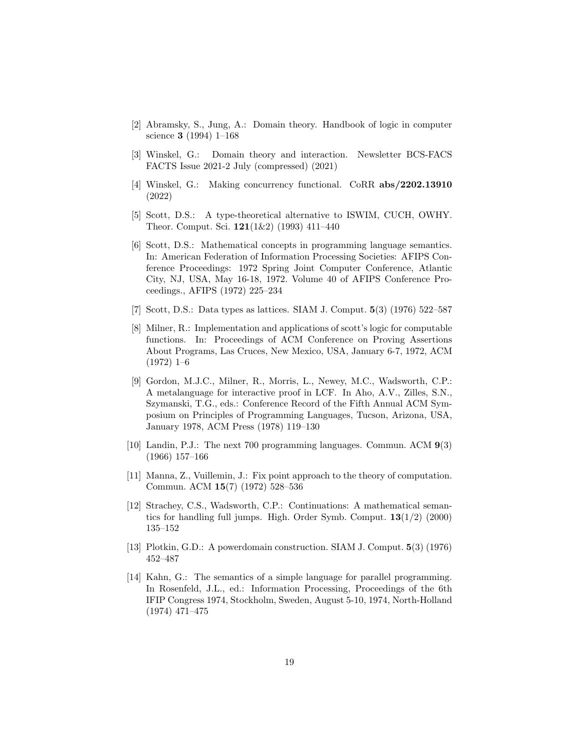- [2] Abramsky, S., Jung, A.: Domain theory. Handbook of logic in computer science 3 (1994) 1–168
- [3] Winskel, G.: Domain theory and interaction. Newsletter BCS-FACS FACTS Issue 2021-2 July (compressed) (2021)
- [4] Winskel, G.: Making concurrency functional. CoRR abs/2202.13910 (2022)
- [5] Scott, D.S.: A type-theoretical alternative to ISWIM, CUCH, OWHY. Theor. Comput. Sci. 121(1&2) (1993) 411–440
- [6] Scott, D.S.: Mathematical concepts in programming language semantics. In: American Federation of Information Processing Societies: AFIPS Conference Proceedings: 1972 Spring Joint Computer Conference, Atlantic City, NJ, USA, May 16-18, 1972. Volume 40 of AFIPS Conference Proceedings., AFIPS (1972) 225–234
- [7] Scott, D.S.: Data types as lattices. SIAM J. Comput. 5(3) (1976) 522–587
- [8] Milner, R.: Implementation and applications of scott's logic for computable functions. In: Proceedings of ACM Conference on Proving Assertions About Programs, Las Cruces, New Mexico, USA, January 6-7, 1972, ACM (1972) 1–6
- [9] Gordon, M.J.C., Milner, R., Morris, L., Newey, M.C., Wadsworth, C.P.: A metalanguage for interactive proof in LCF. In Aho, A.V., Zilles, S.N., Szymanski, T.G., eds.: Conference Record of the Fifth Annual ACM Symposium on Principles of Programming Languages, Tucson, Arizona, USA, January 1978, ACM Press (1978) 119–130
- [10] Landin, P.J.: The next 700 programming languages. Commun. ACM 9(3) (1966) 157–166
- [11] Manna, Z., Vuillemin, J.: Fix point approach to the theory of computation. Commun. ACM 15(7) (1972) 528–536
- [12] Strachey, C.S., Wadsworth, C.P.: Continuations: A mathematical semantics for handling full jumps. High. Order Symb. Comput.  $13(1/2)$  (2000) 135–152
- [13] Plotkin, G.D.: A powerdomain construction. SIAM J. Comput. 5(3) (1976) 452–487
- [14] Kahn, G.: The semantics of a simple language for parallel programming. In Rosenfeld, J.L., ed.: Information Processing, Proceedings of the 6th IFIP Congress 1974, Stockholm, Sweden, August 5-10, 1974, North-Holland (1974) 471–475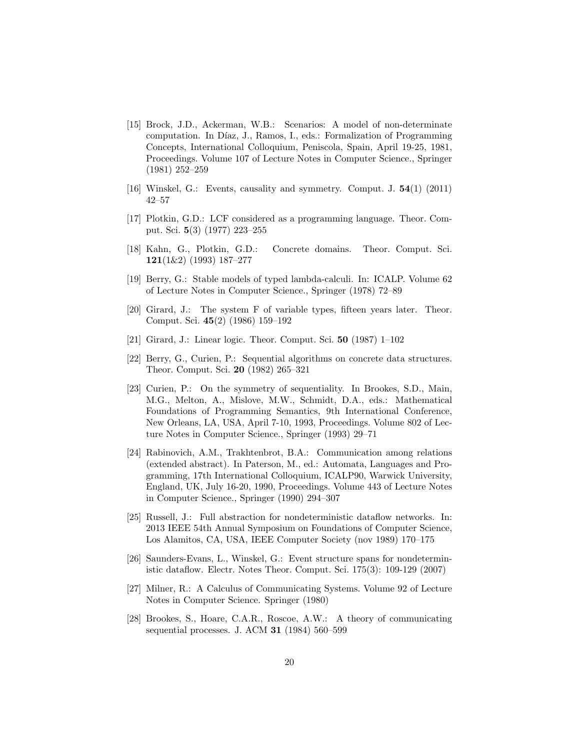- [15] Brock, J.D., Ackerman, W.B.: Scenarios: A model of non-determinate computation. In Díaz, J., Ramos, I., eds.: Formalization of Programming Concepts, International Colloquium, Peniscola, Spain, April 19-25, 1981, Proceedings. Volume 107 of Lecture Notes in Computer Science., Springer (1981) 252–259
- [16] Winskel, G.: Events, causality and symmetry. Comput. J. 54(1) (2011) 42–57
- [17] Plotkin, G.D.: LCF considered as a programming language. Theor. Comput. Sci. 5(3) (1977) 223–255
- [18] Kahn, G., Plotkin, G.D.: Concrete domains. Theor. Comput. Sci. 121(1&2) (1993) 187–277
- [19] Berry, G.: Stable models of typed lambda-calculi. In: ICALP. Volume 62 of Lecture Notes in Computer Science., Springer (1978) 72–89
- [20] Girard, J.: The system F of variable types, fifteen years later. Theor. Comput. Sci. 45(2) (1986) 159–192
- [21] Girard, J.: Linear logic. Theor. Comput. Sci. 50 (1987) 1–102
- [22] Berry, G., Curien, P.: Sequential algorithms on concrete data structures. Theor. Comput. Sci. 20 (1982) 265–321
- [23] Curien, P.: On the symmetry of sequentiality. In Brookes, S.D., Main, M.G., Melton, A., Mislove, M.W., Schmidt, D.A., eds.: Mathematical Foundations of Programming Semantics, 9th International Conference, New Orleans, LA, USA, April 7-10, 1993, Proceedings. Volume 802 of Lecture Notes in Computer Science., Springer (1993) 29–71
- [24] Rabinovich, A.M., Trakhtenbrot, B.A.: Communication among relations (extended abstract). In Paterson, M., ed.: Automata, Languages and Programming, 17th International Colloquium, ICALP90, Warwick University, England, UK, July 16-20, 1990, Proceedings. Volume 443 of Lecture Notes in Computer Science., Springer (1990) 294–307
- [25] Russell, J.: Full abstraction for nondeterministic dataflow networks. In: 2013 IEEE 54th Annual Symposium on Foundations of Computer Science, Los Alamitos, CA, USA, IEEE Computer Society (nov 1989) 170–175
- [26] Saunders-Evans, L., Winskel, G.: Event structure spans for nondeterministic dataflow. Electr. Notes Theor. Comput. Sci. 175(3): 109-129 (2007)
- [27] Milner, R.: A Calculus of Communicating Systems. Volume 92 of Lecture Notes in Computer Science. Springer (1980)
- [28] Brookes, S., Hoare, C.A.R., Roscoe, A.W.: A theory of communicating sequential processes. J. ACM 31 (1984) 560–599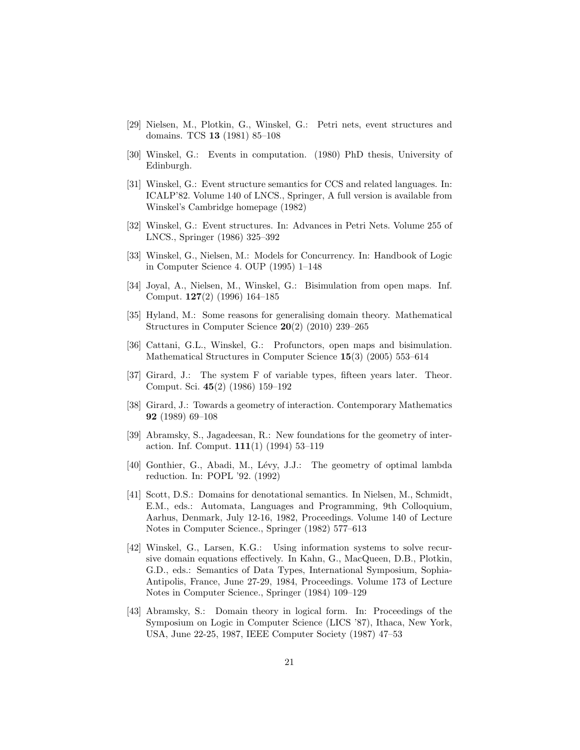- [29] Nielsen, M., Plotkin, G., Winskel, G.: Petri nets, event structures and domains. TCS 13 (1981) 85–108
- [30] Winskel, G.: Events in computation. (1980) PhD thesis, University of Edinburgh.
- [31] Winskel, G.: Event structure semantics for CCS and related languages. In: ICALP'82. Volume 140 of LNCS., Springer, A full version is available from Winskel's Cambridge homepage (1982)
- [32] Winskel, G.: Event structures. In: Advances in Petri Nets. Volume 255 of LNCS., Springer (1986) 325–392
- [33] Winskel, G., Nielsen, M.: Models for Concurrency. In: Handbook of Logic in Computer Science 4. OUP (1995) 1–148
- [34] Joyal, A., Nielsen, M., Winskel, G.: Bisimulation from open maps. Inf. Comput. 127(2) (1996) 164–185
- [35] Hyland, M.: Some reasons for generalising domain theory. Mathematical Structures in Computer Science 20(2) (2010) 239–265
- [36] Cattani, G.L., Winskel, G.: Profunctors, open maps and bisimulation. Mathematical Structures in Computer Science 15(3) (2005) 553–614
- [37] Girard, J.: The system F of variable types, fifteen years later. Theor. Comput. Sci. 45(2) (1986) 159–192
- [38] Girard, J.: Towards a geometry of interaction. Contemporary Mathematics 92 (1989) 69–108
- [39] Abramsky, S., Jagadeesan, R.: New foundations for the geometry of interaction. Inf. Comput. 111(1) (1994) 53–119
- [40] Gonthier, G., Abadi, M., Lévy, J.J.: The geometry of optimal lambda reduction. In: POPL '92. (1992)
- [41] Scott, D.S.: Domains for denotational semantics. In Nielsen, M., Schmidt, E.M., eds.: Automata, Languages and Programming, 9th Colloquium, Aarhus, Denmark, July 12-16, 1982, Proceedings. Volume 140 of Lecture Notes in Computer Science., Springer (1982) 577–613
- [42] Winskel, G., Larsen, K.G.: Using information systems to solve recursive domain equations effectively. In Kahn, G., MacQueen, D.B., Plotkin, G.D., eds.: Semantics of Data Types, International Symposium, Sophia-Antipolis, France, June 27-29, 1984, Proceedings. Volume 173 of Lecture Notes in Computer Science., Springer (1984) 109–129
- [43] Abramsky, S.: Domain theory in logical form. In: Proceedings of the Symposium on Logic in Computer Science (LICS '87), Ithaca, New York, USA, June 22-25, 1987, IEEE Computer Society (1987) 47–53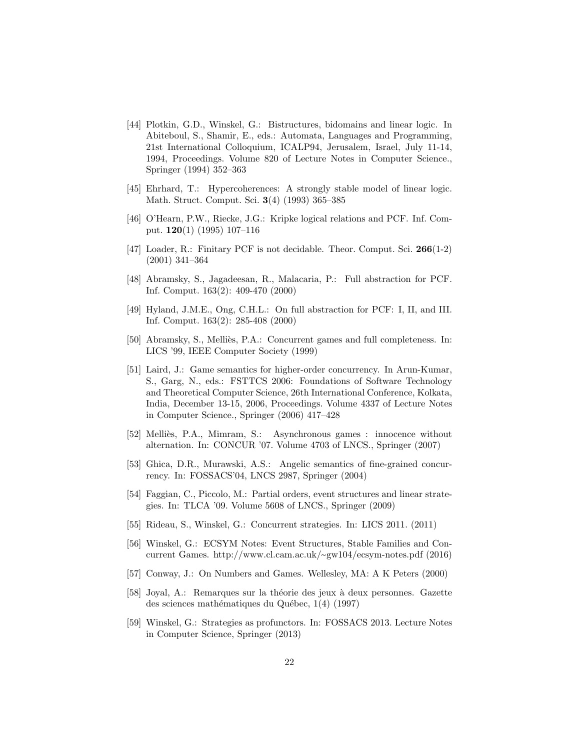- [44] Plotkin, G.D., Winskel, G.: Bistructures, bidomains and linear logic. In Abiteboul, S., Shamir, E., eds.: Automata, Languages and Programming, 21st International Colloquium, ICALP94, Jerusalem, Israel, July 11-14, 1994, Proceedings. Volume 820 of Lecture Notes in Computer Science., Springer (1994) 352–363
- [45] Ehrhard, T.: Hypercoherences: A strongly stable model of linear logic. Math. Struct. Comput. Sci. 3(4) (1993) 365–385
- [46] O'Hearn, P.W., Riecke, J.G.: Kripke logical relations and PCF. Inf. Comput. 120(1) (1995) 107–116
- [47] Loader, R.: Finitary PCF is not decidable. Theor. Comput. Sci. 266(1-2) (2001) 341–364
- [48] Abramsky, S., Jagadeesan, R., Malacaria, P.: Full abstraction for PCF. Inf. Comput. 163(2): 409-470 (2000)
- [49] Hyland, J.M.E., Ong, C.H.L.: On full abstraction for PCF: I, II, and III. Inf. Comput. 163(2): 285-408 (2000)
- [50] Abramsky, S., Melliès, P.A.: Concurrent games and full completeness. In: LICS '99, IEEE Computer Society (1999)
- [51] Laird, J.: Game semantics for higher-order concurrency. In Arun-Kumar, S., Garg, N., eds.: FSTTCS 2006: Foundations of Software Technology and Theoretical Computer Science, 26th International Conference, Kolkata, India, December 13-15, 2006, Proceedings. Volume 4337 of Lecture Notes in Computer Science., Springer (2006) 417–428
- [52] Melliès, P.A., Mimram, S.: Asynchronous games : innocence without alternation. In: CONCUR '07. Volume 4703 of LNCS., Springer (2007)
- [53] Ghica, D.R., Murawski, A.S.: Angelic semantics of fine-grained concurrency. In: FOSSACS'04, LNCS 2987, Springer (2004)
- [54] Faggian, C., Piccolo, M.: Partial orders, event structures and linear strategies. In: TLCA '09. Volume 5608 of LNCS., Springer (2009)
- [55] Rideau, S., Winskel, G.: Concurrent strategies. In: LICS 2011. (2011)
- [56] Winskel, G.: ECSYM Notes: Event Structures, Stable Families and Concurrent Games. http://www.cl.cam.ac.uk/∼gw104/ecsym-notes.pdf (2016)
- [57] Conway, J.: On Numbers and Games. Wellesley, MA: A K Peters (2000)
- [58] Joyal, A.: Remarques sur la théorie des jeux à deux personnes. Gazette des sciences mathématiques du Québec,  $1(4)$  (1997)
- [59] Winskel, G.: Strategies as profunctors. In: FOSSACS 2013. Lecture Notes in Computer Science, Springer (2013)